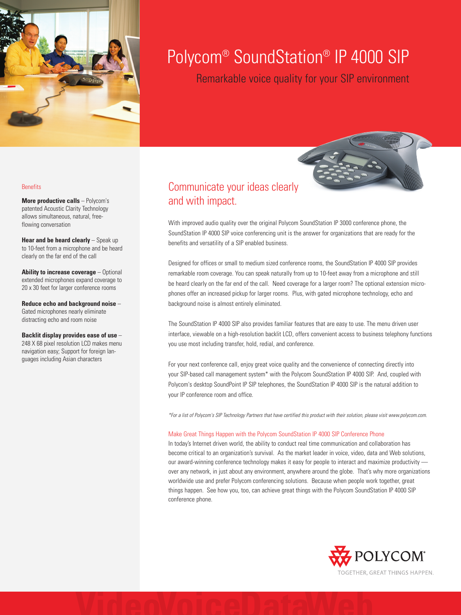

# Polycom® SoundStation® IP 4000 SIP

Remarkable voice quality for your SIP environment

#### **Benefits**

**More productive calls** – Polycom's patented Acoustic Clarity Technology allows simultaneous, natural, freeflowing conversation

**Hear and be heard clearly** – Speak up to 10-feet from a microphone and be heard clearly on the far end of the call

**Ability to increase coverage** – Optional extended microphones expand coverage to 20 x 30 feet for larger conference rooms

**Reduce echo and background noise** – Gated microphones nearly eliminate distracting echo and room noise

#### **Backlit display provides ease of use** –

248 X 68 pixel resolution LCD makes menu navigation easy; Support for foreign languages including Asian characters

## Communicate your ideas clearly and with impact.

With improved audio quality over the original Polycom SoundStation IP 3000 conference phone, the SoundStation IP 4000 SIP voice conferencing unit is the answer for organizations that are ready for the benefits and versatility of a SIP enabled business.

Designed for offices or small to medium sized conference rooms, the SoundStation IP 4000 SIP provides remarkable room coverage. You can speak naturally from up to 10-feet away from a microphone and still be heard clearly on the far end of the call. Need coverage for a larger room? The optional extension microphones offer an increased pickup for larger rooms. Plus, with gated microphone technology, echo and background noise is almost entirely eliminated.

The SoundStation IP 4000 SIP also provides familiar features that are easy to use. The menu driven user interface, viewable on a high-resolution backlit LCD, offers convenient access to business telephony functions you use most including transfer, hold, redial, and conference.

For your next conference call, enjoy great voice quality and the convenience of connecting directly into your SIP-based call management system\* with the Polycom SoundStation IP 4000 SIP. And, coupled with Polycom's desktop SoundPoint IP SIP telephones, the SoundStation IP 4000 SIP is the natural addition to your IP conference room and office.

\*For a list of Polycom's SIP Technology Partners that have certified this product with their solution, please visit www.polycom.com.

#### Make Great Things Happen with the Polycom SoundStation IP 4000 SIP Conference Phone

In today's Internet driven world, the ability to conduct real time communication and collaboration has become critical to an organization's survival. As the market leader in voice, video, data and Web solutions, our award-winning conference technology makes it easy for people to interact and maximize productivity over any network, in just about any environment, anywhere around the globe. That's why more organizations worldwide use and prefer Polycom conferencing solutions. Because when people work together, great things happen. See how you, too, can achieve great things with the Polycom SoundStation IP 4000 SIP conference phone.